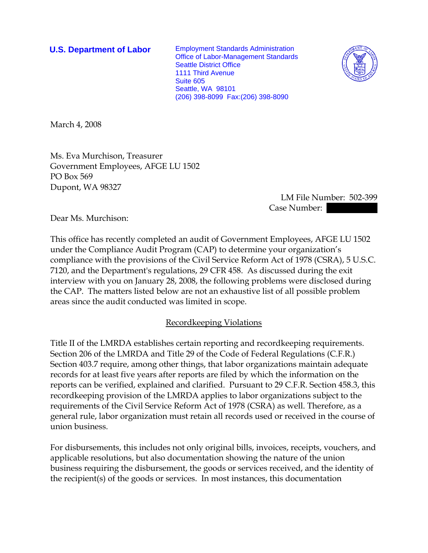**U.S. Department of Labor** Employment Standards Administration Office of Labor-Management Standards Seattle District Office 1111 Third Avenue Suite 605 Seattle, WA 98101 (206) 398-8099 Fax:(206) 398-8090



March 4, 2008

Ms. Eva Murchison, Treasurer Government Employees, AFGE LU 1502 PO Box 569 Dupont, WA 98327

> LM File Number: 502-399 Case Number: ||

Dear Ms. Murchison:

This office has recently completed an audit of Government Employees, AFGE LU 1502 under the Compliance Audit Program (CAP) to determine your organization's compliance with the provisions of the Civil Service Reform Act of 1978 (CSRA), 5 U.S.C. 7120, and the Department's regulations, 29 CFR 458. As discussed during the exit interview with you on January 28, 2008, the following problems were disclosed during the CAP. The matters listed below are not an exhaustive list of all possible problem areas since the audit conducted was limited in scope.

## Recordkeeping Violations

Title II of the LMRDA establishes certain reporting and recordkeeping requirements. Section 206 of the LMRDA and Title 29 of the Code of Federal Regulations (C.F.R.) Section 403.7 require, among other things, that labor organizations maintain adequate records for at least five years after reports are filed by which the information on the reports can be verified, explained and clarified. Pursuant to 29 C.F.R. Section 458.3, this recordkeeping provision of the LMRDA applies to labor organizations subject to the requirements of the Civil Service Reform Act of 1978 (CSRA) as well. Therefore, as a general rule, labor organization must retain all records used or received in the course of union business.

For disbursements, this includes not only original bills, invoices, receipts, vouchers, and applicable resolutions, but also documentation showing the nature of the union business requiring the disbursement, the goods or services received, and the identity of the recipient(s) of the goods or services. In most instances, this documentation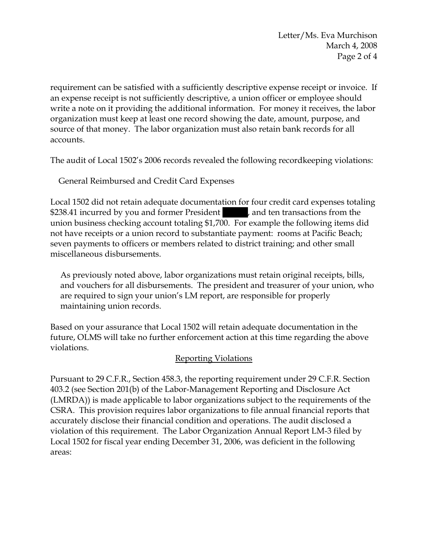requirement can be satisfied with a sufficiently descriptive expense receipt or invoice. If an expense receipt is not sufficiently descriptive, a union officer or employee should write a note on it providing the additional information. For money it receives, the labor organization must keep at least one record showing the date, amount, purpose, and source of that money. The labor organization must also retain bank records for all accounts.

The audit of Local 1502's 2006 records revealed the following recordkeeping violations:

General Reimbursed and Credit Card Expenses

Local 1502 did not retain adequate documentation for four credit card expenses totaling \$238.41 incurred by you and former President |||||||||, and ten transactions from the union business checking account totaling \$1,700. For example the following items did not have receipts or a union record to substantiate payment: rooms at Pacific Beach; seven payments to officers or members related to district training; and other small miscellaneous disbursements.

As previously noted above, labor organizations must retain original receipts, bills, and vouchers for all disbursements. The president and treasurer of your union, who are required to sign your union's LM report, are responsible for properly maintaining union records.

Based on your assurance that Local 1502 will retain adequate documentation in the future, OLMS will take no further enforcement action at this time regarding the above violations.

# Reporting Violations

Pursuant to 29 C.F.R., Section 458.3, the reporting requirement under 29 C.F.R. Section 403.2 (see Section 201(b) of the Labor-Management Reporting and Disclosure Act (LMRDA)) is made applicable to labor organizations subject to the requirements of the CSRA. This provision requires labor organizations to file annual financial reports that accurately disclose their financial condition and operations. The audit disclosed a violation of this requirement. The Labor Organization Annual Report LM-3 filed by Local 1502 for fiscal year ending December 31, 2006, was deficient in the following areas: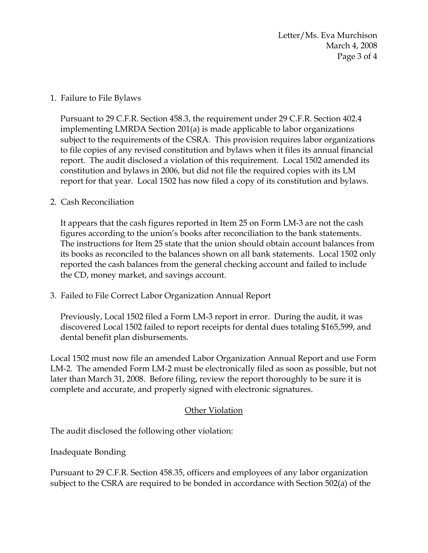Letter/Ms. Eva Murchison March 4, 2008 Page 3 of 4

## 1. Failure to File Bylaws

Pursuant to 29 C.F.R. Section 458.3, the requirement under 29 C.F.R. Section 402.4 implementing LMRDA Section 201(a) is made applicable to labor organizations subject to the requirements of the CSRA. This provision requires labor organizations to file copies of any revised constitution and bylaws when it files its annual financial report. The audit disclosed a violation of this requirement. Local 1502 amended its constitution and bylaws in 2006, but did not file the required copies with its LM report for that year. Local 1502 has now filed a copy of its constitution and bylaws.

### 2. Cash Reconciliation

It appears that the cash figures reported in Item 25 on Form LM-3 are not the cash figures according to the union's books after reconciliation to the bank statements. The instructions for Item 25 state that the union should obtain account balances from its books as reconciled to the balances shown on all bank statements. Local 1502 only reported the cash balances from the general checking account and failed to include the CD, money market, and savings account.

3. Failed to File Correct Labor Organization Annual Report

Previously, Local 1502 filed a Form LM-3 report in error. During the audit, it was discovered Local 1502 failed to report receipts for dental dues totaling \$165,599, and dental benefit plan disbursements.

Local 1502 must now file an amended Labor Organization Annual Report and use Form LM-2. The amended Form LM-2 must be electronically filed as soon as possible, but not later than March 31, 2008. Before filing, review the report thoroughly to be sure it is complete and accurate, and properly signed with electronic signatures.

## Other Violation

The audit disclosed the following other violation:

Inadequate Bonding

Pursuant to 29 C.F.R. Section 458.35, officers and employees of any labor organization subject to the CSRA are required to be bonded in accordance with Section 502(a) of the